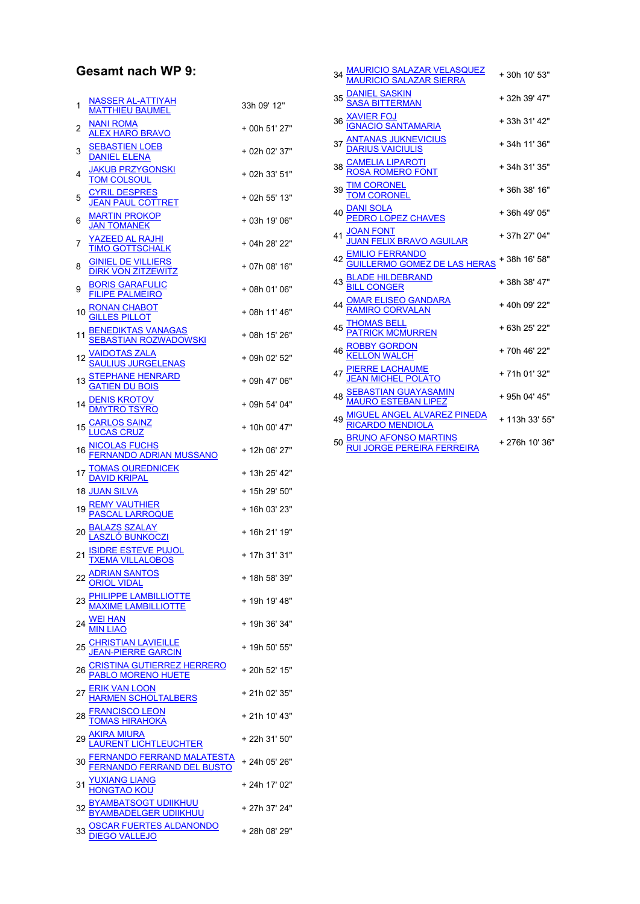## Gesamt nach WP 9:

| 1  | <b>NASSER AL-ATTIYAH</b><br><b>MATTHIEU BAUMEL</b>                                                                    | 33h 09' 12"   |
|----|-----------------------------------------------------------------------------------------------------------------------|---------------|
| 2  | NANI ROMA<br><u>ALEX HARO BRAVO</u>                                                                                   | + 00h 51' 27" |
| 3  | <b>SEBASTIEN LOEB</b><br><b>DANIEL ELENA</b>                                                                          | + 02h 02' 37" |
| 4  | <b>JAKUB PRZYGONSKI</b><br><b>TOM COLSOUL</b>                                                                         | + 02h 33' 51" |
| 5  | <b>CYRIL DESPRES</b><br>JEAN PAUL COTTRET                                                                             | + 02h 55' 13" |
| 6  | <b>MARTIN PROKOP</b><br><b>JAN TOMANEK</b>                                                                            | + 03h 19' 06" |
| 7  | <u>YAZEED AL RAJHI</u><br><b>TIMO GOTTSCHALK</b>                                                                      | + 04h 28' 22" |
| 8  | <b>GINIEL DE VILLIERS</b><br><b>DIRK VON ZITZEWITZ</b>                                                                | + 07h 08' 16" |
| 9  | <b>BORIS GARAFULIC</b><br>FILIPE PALMEIRO                                                                             | + 08h 01' 06" |
| 10 | <b>RONAN CHABOT</b><br><b>GILLES PILLOT</b>                                                                           | + 08h 11' 46" |
| 11 | <b>BENEDIKTAS VANAGAS</b><br><b>SEBASTIAN ROZWADOWSKI</b>                                                             | + 08h 15' 26" |
| 12 | <u>VAIDOTAS ZALA</u><br><u>SAULIUS JURGELENAS</u>                                                                     | + 09h 02' 52" |
| 13 | STEPHANE HENRARD<br>GATIEN DU BOIS                                                                                    | + 09h 47' 06" |
| 14 | <u>DENIS KROTOV</u><br><u>DMYTRO TSYRO</u>                                                                            | + 09h 54' 04" |
| 15 | <u>CARLOS SAINZ</u><br>LUCAS CRUZ                                                                                     | + 10h 00' 47" |
| 16 | NICOLAS FUCHS<br>FERNANDO ADRIAN MUSSANO                                                                              | + 12h 06' 27" |
| 17 | <b>TOMAS OUREDNICEK</b><br>DAVID KRIPAL                                                                               | + 13h 25' 42" |
|    | <b>18 JUAN SILVA</b>                                                                                                  | + 15h 29' 50" |
| 19 | <b>REMY VAUTHIER</b><br><b>PASCAL LARROQUE</b>                                                                        | + 16h 03' 23" |
| 20 | <u>BALAZS SZALAY</u><br>LASZLÓ BUNKOCZI                                                                               | + 16h 21' 19" |
| 21 | <u>ISIDRE ESTEVE PUJOL</u><br><u>TXEMA VILLALOBOS</u>                                                                 | + 17h 31' 31" |
|    | 22 ADRIAN SANTOS<br><b>ORIOL VIDAL</b>                                                                                | + 18h 58' 39" |
|    | <b>PHILIPPE LAMBILLIOTTE</b><br>MAXIME LAMBILLIOTTE                                                                   | + 19h 19' 48" |
|    | 24 WELHAN                                                                                                             | + 19h 36' 34" |
|    | <u>CHRISTIAN LAVIEILLE</u><br><u>JEAN-PIERRE GARCIN</u>                                                               | + 19h 50' 55" |
| 26 | CRISTINA GUTIERREZ HERRERO<br>PABLO MORENO HUETE                                                                      | + 20h 52' 15" |
| 27 |                                                                                                                       | + 21h 02' 35" |
| 28 | ERIK VAN LOON<br>HARMEN SCHOLTALBERS<br>FRANCISCO LEON<br>TOMAS HIRAHOKA<br>AKIRA MIURA<br>LAURENT LICHTLEUCHTER      | + 21h 10' 43" |
| 29 |                                                                                                                       | + 22h 31' 50" |
| 30 | <u>FERNANDO FERRAND MALATESTA</u><br>FERNANDO FERRAND DEL BUSTO                                                       | + 24h 05' 26" |
|    | <u>JXIANG LIANG</u><br><u>ONGTAO KOU</u>                                                                              | + 24h 17' 02" |
| 32 |                                                                                                                       | + 27h 37' 24" |
|    | <u>BYAMBATSOGT UDIIKHUU</u><br><u>BYAMBADELGER UDIIKHUU</u><br><u>OSCAR FUERTES ALDANONDO</u><br><u>DIEGO VALLEJO</u> |               |
|    |                                                                                                                       | + 28h 08' 29" |

| 34 <u>MAURICIO SALAZAR VELASQUEZ</u><br><u>MAURICIO SALAZAR SIERRA</u>             | +30h 10' 53"   |
|------------------------------------------------------------------------------------|----------------|
| 35 DANIEL SASKIN<br>SASA BITTERMAN                                                 | + 32h 39' 47"  |
| 36 XAVIER FOJ<br><u>IGNACIO SANTAMARIA</u>                                         | + 33h 31' 42"  |
| 37 <u>ANTANAS JUKNEVICIUS</u><br><u>DARIUS VAICIULIS</u>                           | +34h 11'36"    |
| 38 CAMELIA LIPAROTI                                                                | + 34h 31' 35"  |
| 39 TIM CORONEL<br>TOM CORONEL                                                      | +36h 38' 16"   |
| 40 DANI SOLA<br>PEDRO LOPEZ CHAVES                                                 | +36h 49' 05"   |
| 41 <u>JOAN FONT</u><br>JUAN FELIX BRAVO AGUILAR                                    | + 37h 27' 04"  |
| 42 EMILIO FERRANDO<br><u>GUILLERMO GOMEZ DE LAS HERAS</u> <sup>+ 38h 16' 58"</sup> |                |
| <b>BLADE HILDEBRAND</b><br>BILL CONGER<br>43                                       | +38h 38' 47"   |
| OMAR ELISEO GANDARA<br>RAMIRO CORVALAN                                             | +40h 09' 22"   |
| 45 <u>THOMAS BELL</u><br>PATRICK MCMURREN                                          | +63h 25' 22"   |
| ROBBY GORDON<br>KELLON WALCH                                                       | +70h 46' 22"   |
| 47 <u>PIERRE LACHAUME</u><br><u>JEAN MICHEL POLATO</u>                             | +71h 01'32"    |
| 48 SEBASTIAN GUAYASAMIN<br>MAURO ESTEBAN LIPEZ                                     | + 95h 04' 45"  |
| MIGUEL ANGEL ALVAREZ PINEDA<br>RICARDO MENDIOLA                                    | + 113h 33' 55" |
| 50 <mark>BRUNO AFONSO MARTINS</mark><br>RUI JORGE PEREIRA FERREIRA                 | +276h 10'36"   |